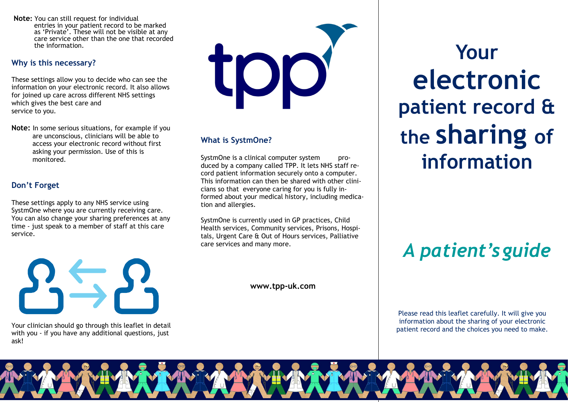**Note:** You can still request for individual entries in your patient record to be marked as 'Private'. These will not be visible at any care service other than the one that recorded the information.

## **Why is this necessary?**

These settings allow you to decide who can see the information on your electronic record. It also allows for joined up care across different NHS settings which gives the best care and service to you.

**Note:** In some serious situations, for example if you are unconscious, clinicians will be able to access your electronic record without first asking your permission. Use of this is monitored.

## **Don't Forget**

These settings apply to any NHS service using SystmOne where you are currently receiving care. You can also change your sharing preferences at any time - just speak to a member of staff at this care service.



Your clinician should go through this leaflet in detail with you - if you have any additional questions, just ask!

COI

## **What is SystmOne?**

SystmOne is a clinical computer system produced by a company called TPP. It lets NHS staff record patient information securely onto a computer. This information can then be shared with other clinicians so that everyone caring for you is fully informed about your medical history, including medication and allergies.

SystmOne is currently used in GP practices, Child Health services, Community services, Prisons, Hospitals, Urgent Care & Out of Hours services, Palliative care services and many more.

**www.tpp-uk.com**

**Yourelectronicpatient record & the sharing of information**

# *A patient'sguide*

Please read this leaflet carefully. It will give you information about the sharing of your electronic patient record and the choices you need to make.